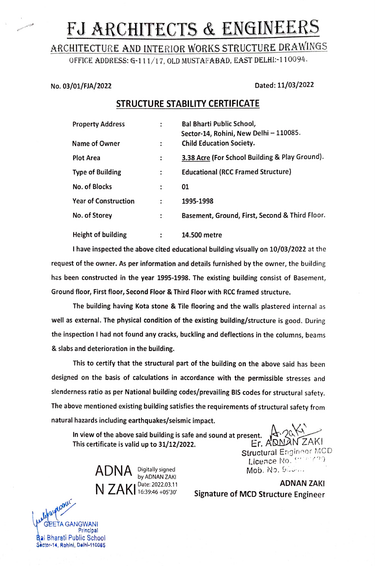# FJ ARCHITECTS & ENGINEERS

## ARCHITECTURE AND INTERIOR WoRKS STRUCTURE DRAWINGS

OFFICE ADDRESS: G-111/17, OLD MUSTAFABAD, EAST DELHI:-110094.

#### No. 03/01/FJA/2022 Dated: 11/03/2022

### STRUCTURE STABILITY CERTIFICATE

| <b>Property Address</b>     | ٠                    | <b>Bal Bharti Public School,</b><br>Sector-14, Rohini, New Delhi - 110085. |
|-----------------------------|----------------------|----------------------------------------------------------------------------|
| Name of Owner               | $\ddot{\phantom{a}}$ | <b>Child Education Society.</b>                                            |
| <b>Plot Area</b>            | ÷                    | 3.38 Acre (For School Building & Play Ground).                             |
| <b>Type of Building</b>     | :                    | <b>Educational (RCC Framed Structure)</b>                                  |
| No. of Blocks               | ÷                    | 01                                                                         |
| <b>Year of Construction</b> | $\ddot{\cdot}$       | 1995-1998                                                                  |
| No. of Storey               | ÷                    | Basement, Ground, First, Second & Third Floor.                             |
| Height of building          | ٠                    | 14.500 metre                                                               |

I have inspected the above cited educational building visually on 10/03/2022 at the request of the owner. As per information and details furnished by the owner, the building has been constructed in the year 1995-1998. The existing building consist of Basement, Ground floor, First floor, Second Floor & Third Floor with RCC framed structure.

The building having Kota stone & Tile flooring and the walls plastered internal as well as external. The physical condition of the existing building/structure is good. During the inspection I had not found any cracks, buckling and deflections in the columns, beams & slabs and deterioration in the building.

This to certify that the structural part of the building on the above said has been designed on the basis of calculations in accordance with the permissible stresses and slenderness ratio as per National building codes/prevailing BIS codes for structural safety. The above mentioned existing building satisfies the requirements of structural safety from natural hazards including earthquakes/seismic impact.

In view of the above said building is safe and sound at present.  $\sqrt{\frac{dV}{dN}}$ <br>This certificate is valid up to 31/12/2022. Er. ADMAN

 $ADNA$  Digitally signed Mob. No. SOO...<br>  $NADAA$  by ADNAN ZAKI<br>  $AI 7 A IZI$  Date: 2022.03.11

Structural Engineer MCD Licence No. Straezng

 $N ZAKI_{16:39:46+05'30'}$  Signature of MCD Structure Engineer updature Signature Changes using the unit of MCD Structure Engineer

FTA GANGWANI Principal **Bal Bharati Public School** Sèctor-14, Rohini, Dalhl-110085